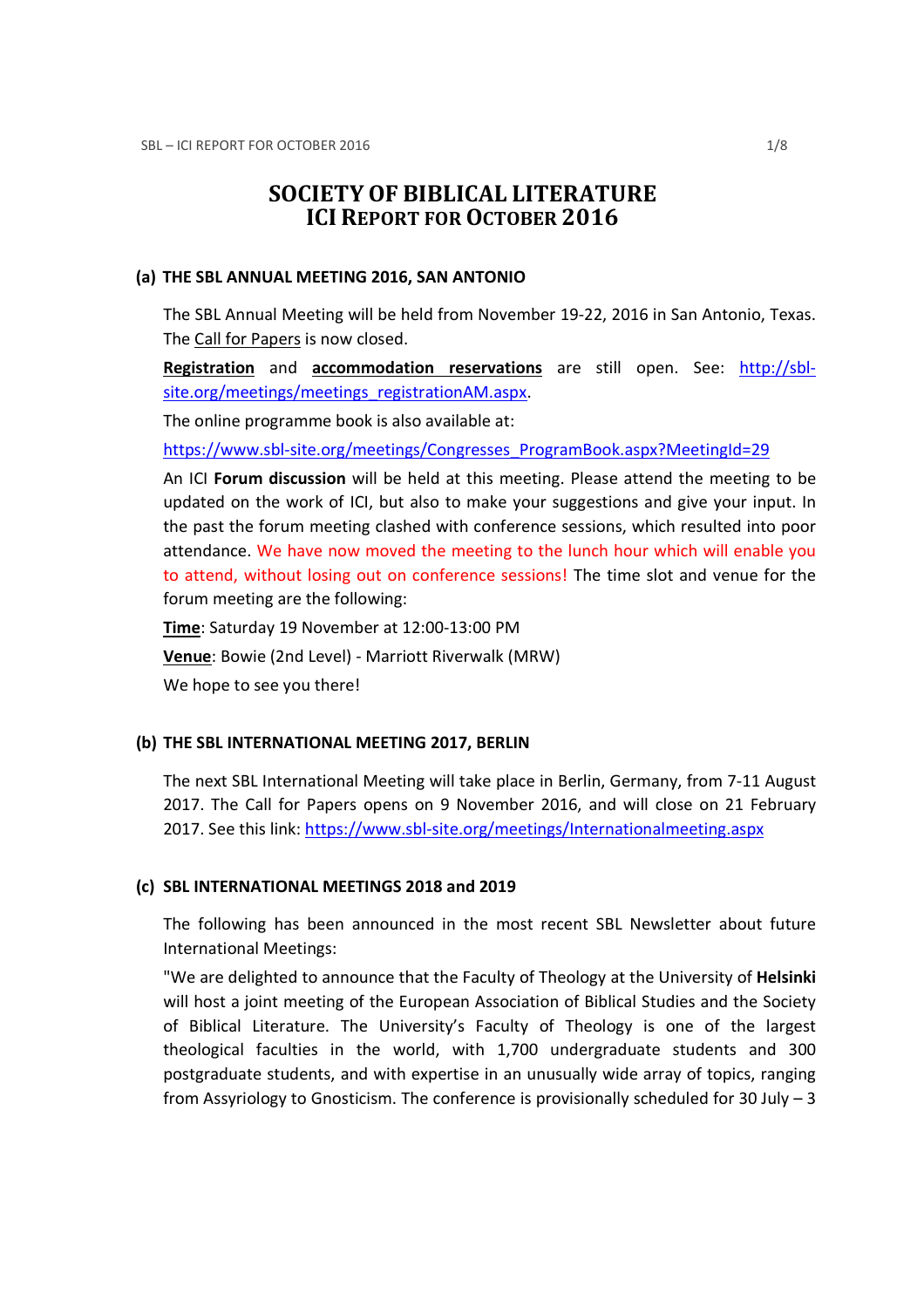# SOCIETY OF BIBLICAL LITERATURE ICI REPORT FOR OCTOBER 2016

#### (a) THE SBL ANNUAL MEETING 2016, SAN ANTONIO

The SBL Annual Meeting will be held from November 19-22, 2016 in San Antonio, Texas. The Call for Papers is now closed.

Registration and accommodation reservations are still open. See: http://sblsite.org/meetings/meetings\_registrationAM.aspx.

The online programme book is also available at:

https://www.sbl-site.org/meetings/Congresses\_ProgramBook.aspx?MeetingId=29

An ICI Forum discussion will be held at this meeting. Please attend the meeting to be updated on the work of ICI, but also to make your suggestions and give your input. In the past the forum meeting clashed with conference sessions, which resulted into poor attendance. We have now moved the meeting to the lunch hour which will enable you to attend, without losing out on conference sessions! The time slot and venue for the forum meeting are the following:

Time: Saturday 19 November at 12:00-13:00 PM Venue: Bowie (2nd Level) - Marriott Riverwalk (MRW) We hope to see you there!

### (b) THE SBL INTERNATIONAL MEETING 2017, BERLIN

The next SBL International Meeting will take place in Berlin, Germany, from 7-11 August 2017. The Call for Papers opens on 9 November 2016, and will close on 21 February 2017. See this link: https://www.sbl-site.org/meetings/Internationalmeeting.aspx

#### (c) SBL INTERNATIONAL MEETINGS 2018 and 2019

The following has been announced in the most recent SBL Newsletter about future International Meetings:

"We are delighted to announce that the Faculty of Theology at the University of Helsinki will host a joint meeting of the European Association of Biblical Studies and the Society of Biblical Literature. The University's Faculty of Theology is one of the largest theological faculties in the world, with 1,700 undergraduate students and 300 postgraduate students, and with expertise in an unusually wide array of topics, ranging from Assyriology to Gnosticism. The conference is provisionally scheduled for 30 July  $-3$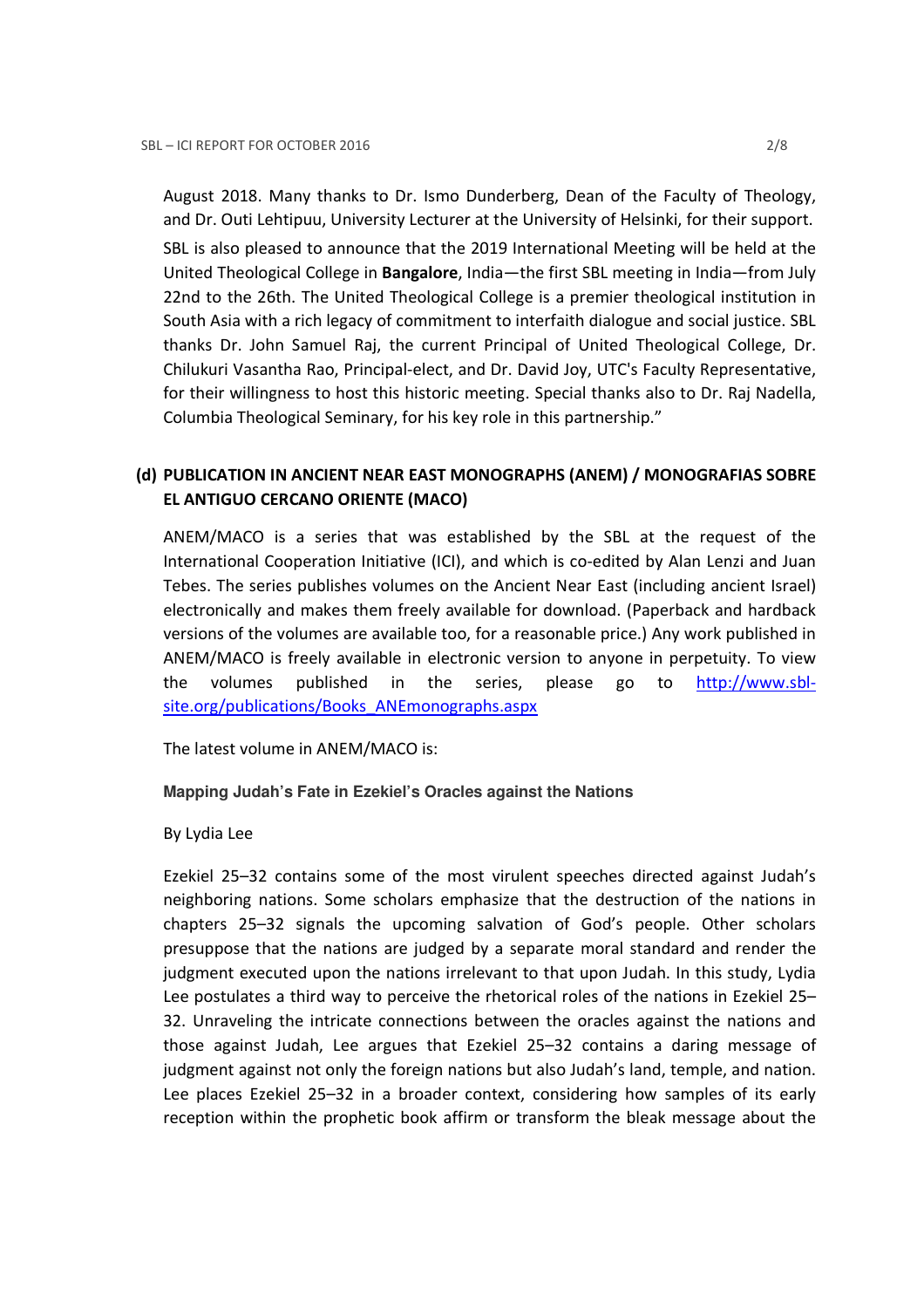August 2018. Many thanks to Dr. Ismo Dunderberg, Dean of the Faculty of Theology, and Dr. Outi Lehtipuu, University Lecturer at the University of Helsinki, for their support. SBL is also pleased to announce that the 2019 International Meeting will be held at the United Theological College in Bangalore, India—the first SBL meeting in India—from July 22nd to the 26th. The United Theological College is a premier theological institution in South Asia with a rich legacy of commitment to interfaith dialogue and social justice. SBL thanks Dr. John Samuel Raj, the current Principal of United Theological College, Dr. Chilukuri Vasantha Rao, Principal-elect, and Dr. David Joy, UTC's Faculty Representative, for their willingness to host this historic meeting. Special thanks also to Dr. Raj Nadella, Columbia Theological Seminary, for his key role in this partnership."

## (d) PUBLICATION IN ANCIENT NEAR EAST MONOGRAPHS (ANEM) / MONOGRAFIAS SOBRE EL ANTIGUO CERCANO ORIENTE (MACO)

ANEM/MACO is a series that was established by the SBL at the request of the International Cooperation Initiative (ICI), and which is co-edited by Alan Lenzi and Juan Tebes. The series publishes volumes on the Ancient Near East (including ancient Israel) electronically and makes them freely available for download. (Paperback and hardback versions of the volumes are available too, for a reasonable price.) Any work published in ANEM/MACO is freely available in electronic version to anyone in perpetuity. To view the volumes published in the series, please go to http://www.sblsite.org/publications/Books\_ANEmonographs.aspx

The latest volume in ANEM/MACO is:

#### **Mapping Judah's Fate in Ezekiel's Oracles against the Nations**

#### By Lydia Lee

Ezekiel 25–32 contains some of the most virulent speeches directed against Judah's neighboring nations. Some scholars emphasize that the destruction of the nations in chapters 25–32 signals the upcoming salvation of God's people. Other scholars presuppose that the nations are judged by a separate moral standard and render the judgment executed upon the nations irrelevant to that upon Judah. In this study, Lydia Lee postulates a third way to perceive the rhetorical roles of the nations in Ezekiel 25– 32. Unraveling the intricate connections between the oracles against the nations and those against Judah, Lee argues that Ezekiel 25–32 contains a daring message of judgment against not only the foreign nations but also Judah's land, temple, and nation. Lee places Ezekiel 25–32 in a broader context, considering how samples of its early reception within the prophetic book affirm or transform the bleak message about the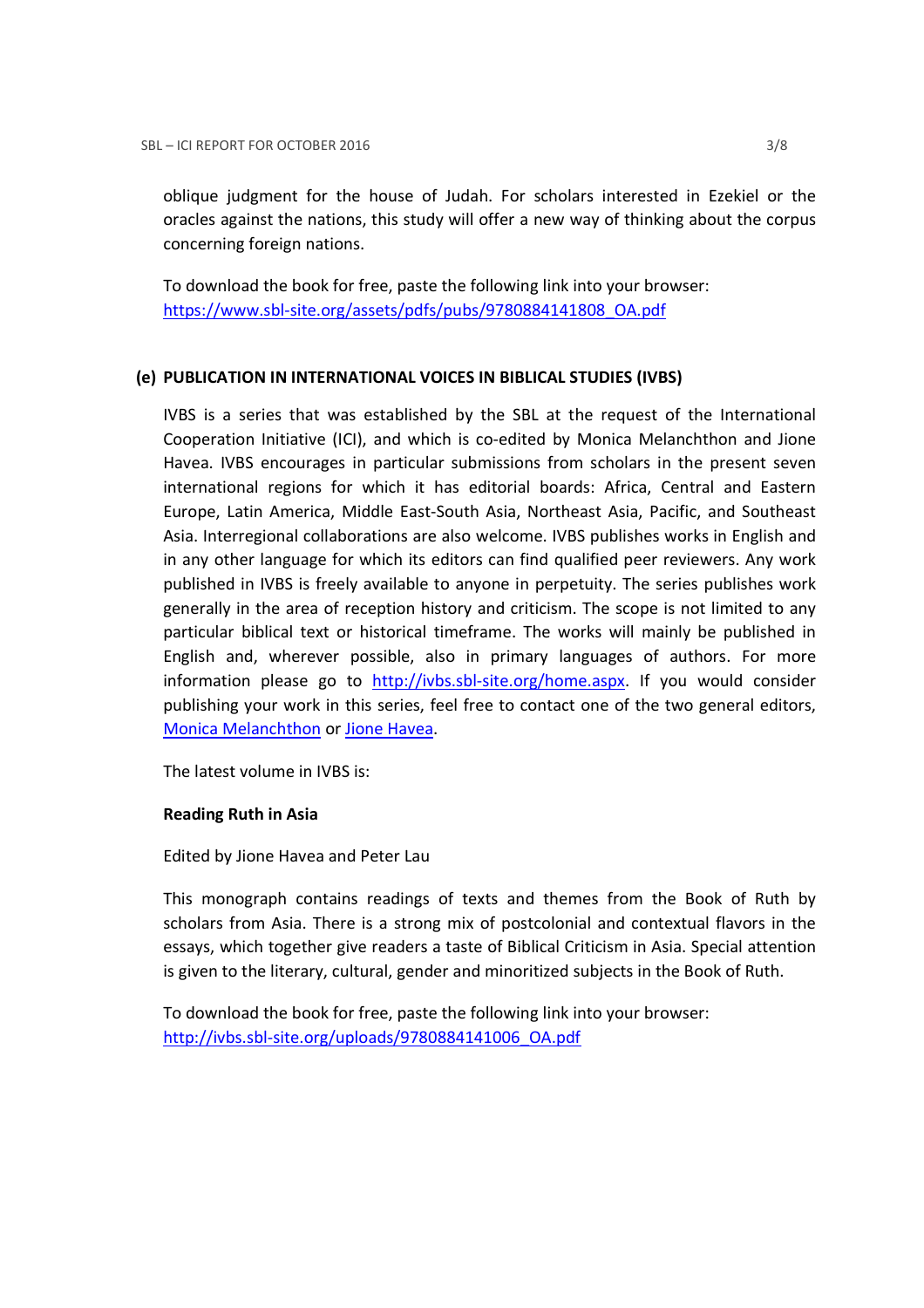oblique judgment for the house of Judah. For scholars interested in Ezekiel or the oracles against the nations, this study will offer a new way of thinking about the corpus concerning foreign nations.

To download the book for free, paste the following link into your browser: https://www.sbl-site.org/assets/pdfs/pubs/9780884141808\_OA.pdf

### (e) PUBLICATION IN INTERNATIONAL VOICES IN BIBLICAL STUDIES (IVBS)

IVBS is a series that was established by the SBL at the request of the International Cooperation Initiative (ICI), and which is co-edited by Monica Melanchthon and Jione Havea. IVBS encourages in particular submissions from scholars in the present seven international regions for which it has editorial boards: Africa, Central and Eastern Europe, Latin America, Middle East-South Asia, Northeast Asia, Pacific, and Southeast Asia. Interregional collaborations are also welcome. IVBS publishes works in English and in any other language for which its editors can find qualified peer reviewers. Any work published in IVBS is freely available to anyone in perpetuity. The series publishes work generally in the area of reception history and criticism. The scope is not limited to any particular biblical text or historical timeframe. The works will mainly be published in English and, wherever possible, also in primary languages of authors. For more information please go to http://ivbs.sbl-site.org/home.aspx. If you would consider publishing your work in this series, feel free to contact one of the two general editors, Monica Melanchthon or Jione Havea.

The latest volume in IVBS is:

### Reading Ruth in Asia

Edited by Jione Havea and Peter Lau

This monograph contains readings of texts and themes from the Book of Ruth by scholars from Asia. There is a strong mix of postcolonial and contextual flavors in the essays, which together give readers a taste of Biblical Criticism in Asia. Special attention is given to the literary, cultural, gender and minoritized subjects in the Book of Ruth.

To download the book for free, paste the following link into your browser: http://ivbs.sbl-site.org/uploads/9780884141006\_OA.pdf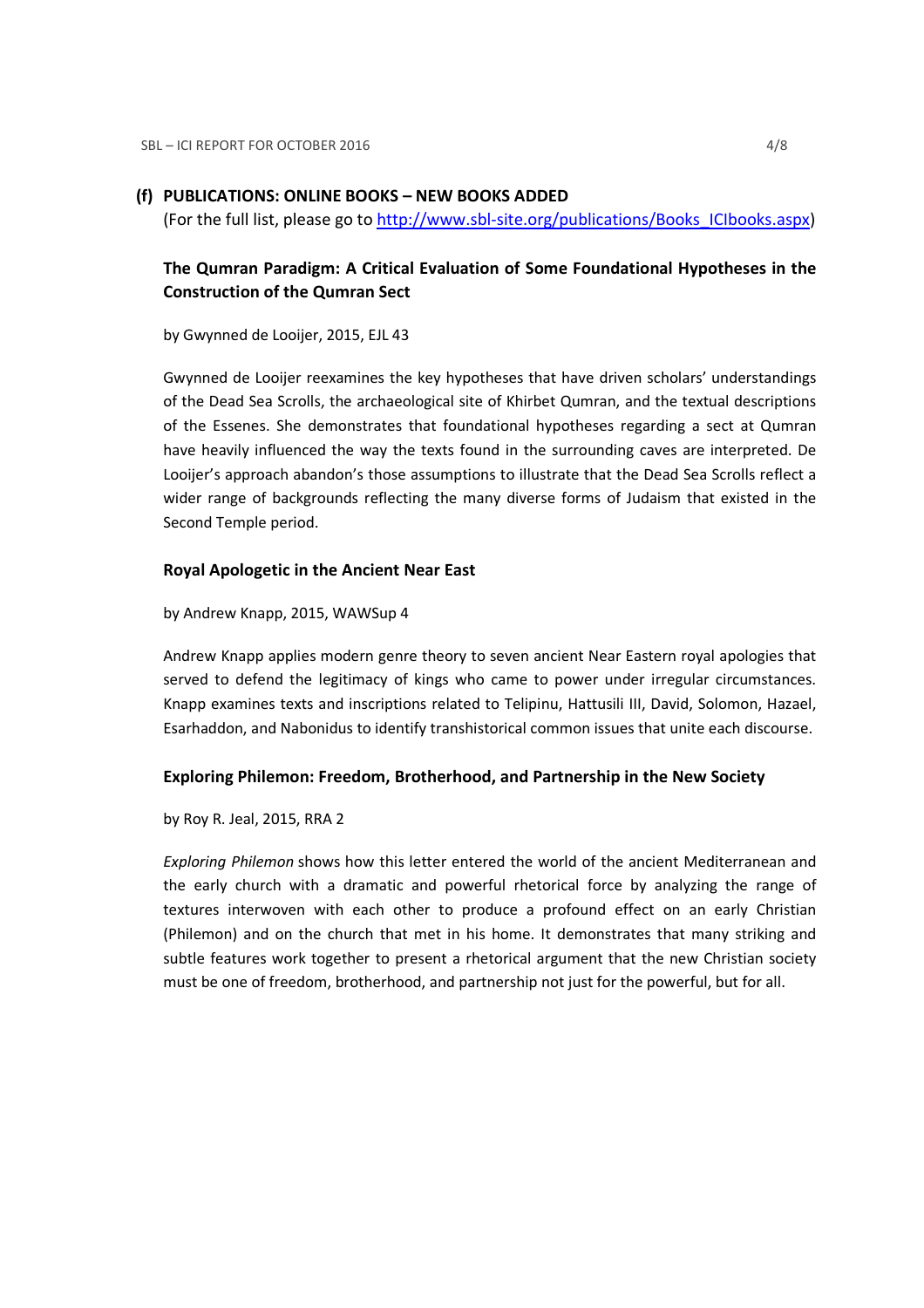### (f) PUBLICATIONS: ONLINE BOOKS – NEW BOOKS ADDED

(For the full list, please go to http://www.sbl-site.org/publications/Books\_ICIbooks.aspx)

## The Qumran Paradigm: A Critical Evaluation of Some Foundational Hypotheses in the Construction of the Qumran Sect

by Gwynned de Looijer, 2015, EJL 43

Gwynned de Looijer reexamines the key hypotheses that have driven scholars' understandings of the Dead Sea Scrolls, the archaeological site of Khirbet Qumran, and the textual descriptions of the Essenes. She demonstrates that foundational hypotheses regarding a sect at Qumran have heavily influenced the way the texts found in the surrounding caves are interpreted. De Looijer's approach abandon's those assumptions to illustrate that the Dead Sea Scrolls reflect a wider range of backgrounds reflecting the many diverse forms of Judaism that existed in the Second Temple period.

#### Royal Apologetic in the Ancient Near East

by Andrew Knapp, 2015, WAWSup 4

Andrew Knapp applies modern genre theory to seven ancient Near Eastern royal apologies that served to defend the legitimacy of kings who came to power under irregular circumstances. Knapp examines texts and inscriptions related to Telipinu, Hattusili III, David, Solomon, Hazael, Esarhaddon, and Nabonidus to identify transhistorical common issues that unite each discourse.

#### Exploring Philemon: Freedom, Brotherhood, and Partnership in the New Society

by Roy R. Jeal, 2015, RRA 2

Exploring Philemon shows how this letter entered the world of the ancient Mediterranean and the early church with a dramatic and powerful rhetorical force by analyzing the range of textures interwoven with each other to produce a profound effect on an early Christian (Philemon) and on the church that met in his home. It demonstrates that many striking and subtle features work together to present a rhetorical argument that the new Christian society must be one of freedom, brotherhood, and partnership not just for the powerful, but for all.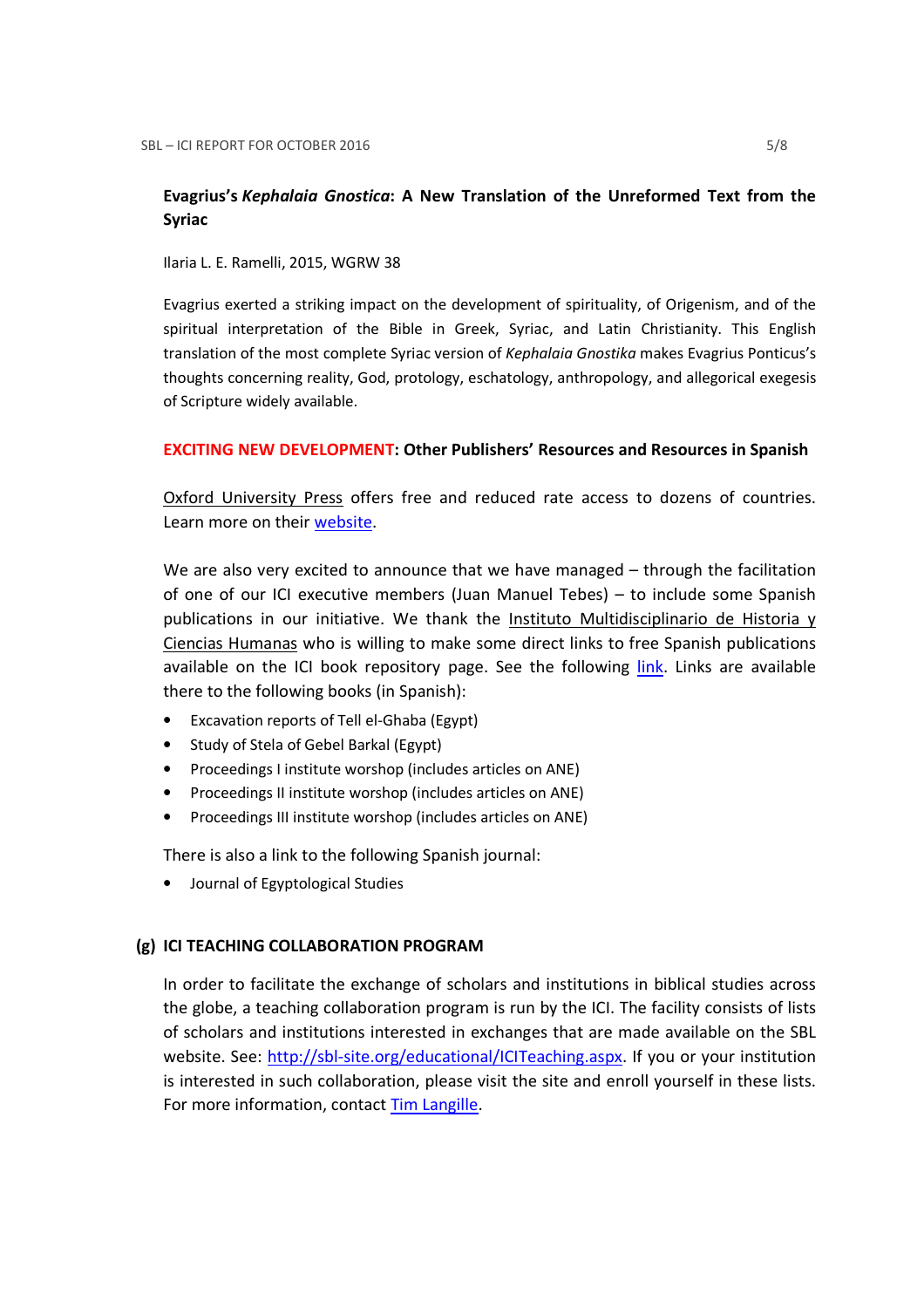## Evagrius's Kephalaia Gnostica: A New Translation of the Unreformed Text from the Syriac

Ilaria L. E. Ramelli, 2015, WGRW 38

Evagrius exerted a striking impact on the development of spirituality, of Origenism, and of the spiritual interpretation of the Bible in Greek, Syriac, and Latin Christianity. This English translation of the most complete Syriac version of Kephalaia Gnostika makes Evagrius Ponticus's thoughts concerning reality, God, protology, eschatology, anthropology, and allegorical exegesis of Scripture widely available.

### EXCITING NEW DEVELOPMENT: Other Publishers' Resources and Resources in Spanish

Oxford University Press offers free and reduced rate access to dozens of countries. Learn more on their website.

We are also very excited to announce that we have managed – through the facilitation of one of our ICI executive members (Juan Manuel Tebes) – to include some Spanish publications in our initiative. We thank the Instituto Multidisciplinario de Historia y Ciencias Humanas who is willing to make some direct links to free Spanish publications available on the ICI book repository page. See the following *link*. Links are available there to the following books (in Spanish):

- Excavation reports of Tell el-Ghaba (Egypt)
- Study of Stela of Gebel Barkal (Egypt)
- Proceedings I institute worshop (includes articles on ANE)
- Proceedings II institute worshop (includes articles on ANE)
- Proceedings III institute worshop (includes articles on ANE)

There is also a link to the following Spanish journal:

• Journal of Egyptological Studies

### (g) ICI TEACHING COLLABORATION PROGRAM

In order to facilitate the exchange of scholars and institutions in biblical studies across the globe, a teaching collaboration program is run by the ICI. The facility consists of lists of scholars and institutions interested in exchanges that are made available on the SBL website. See: http://sbl-site.org/educational/ICITeaching.aspx. If you or your institution is interested in such collaboration, please visit the site and enroll yourself in these lists. For more information, contact Tim Langille.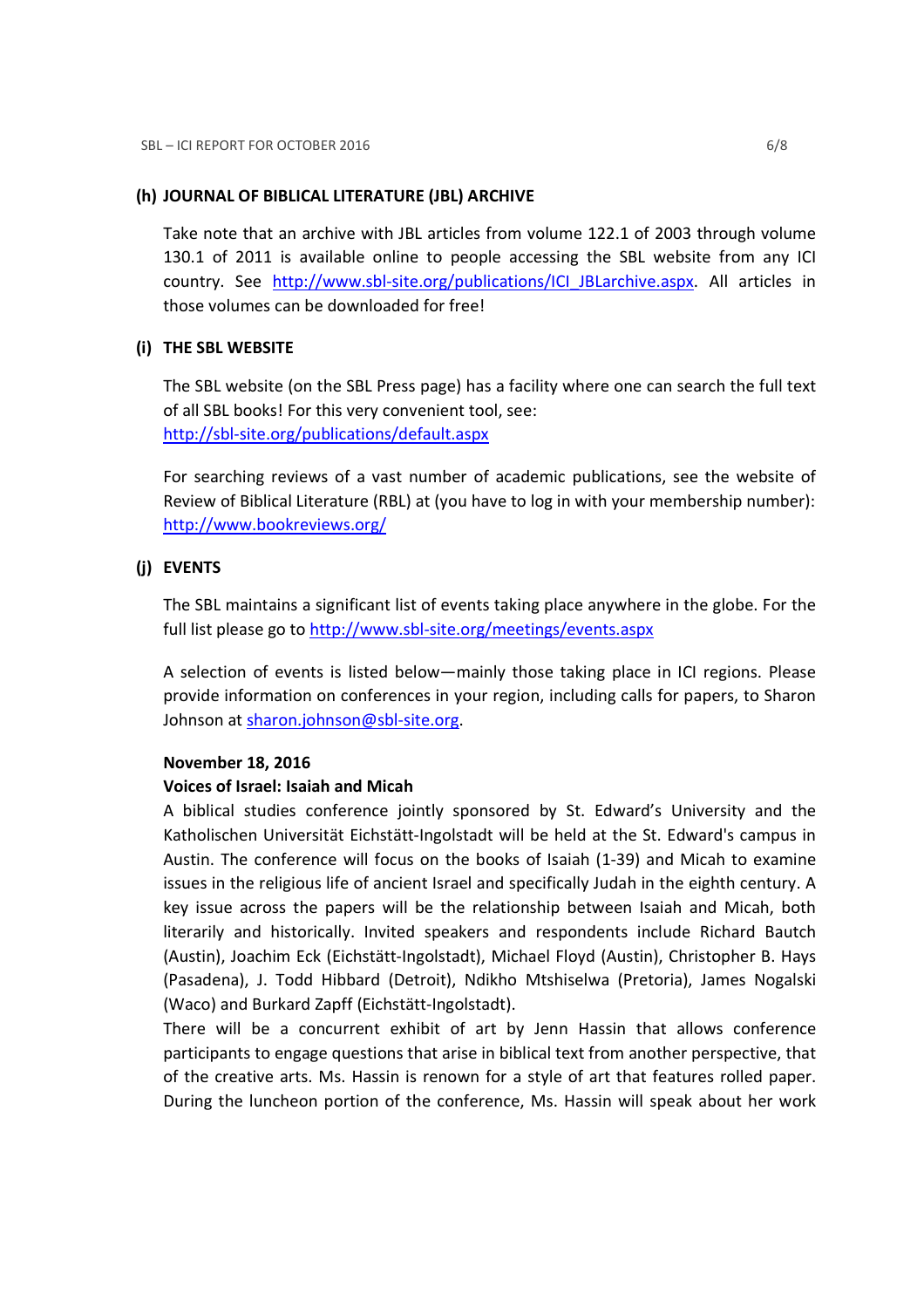### (h) JOURNAL OF BIBLICAL LITERATURE (JBL) ARCHIVE

Take note that an archive with JBL articles from volume 122.1 of 2003 through volume 130.1 of 2011 is available online to people accessing the SBL website from any ICI country. See http://www.sbl-site.org/publications/ICI\_JBLarchive.aspx. All articles in those volumes can be downloaded for free!

### (i) THE SBL WEBSITE

The SBL website (on the SBL Press page) has a facility where one can search the full text of all SBL books! For this very convenient tool, see: http://sbl-site.org/publications/default.aspx

For searching reviews of a vast number of academic publications, see the website of Review of Biblical Literature (RBL) at (you have to log in with your membership number): http://www.bookreviews.org/

### (j) EVENTS

The SBL maintains a significant list of events taking place anywhere in the globe. For the full list please go to http://www.sbl-site.org/meetings/events.aspx

A selection of events is listed below—mainly those taking place in ICI regions. Please provide information on conferences in your region, including calls for papers, to Sharon Johnson at sharon.johnson@sbl-site.org.

### November 18, 2016

### Voices of Israel: Isaiah and Micah

A biblical studies conference jointly sponsored by St. Edward's University and the Katholischen Universität Eichstätt-Ingolstadt will be held at the St. Edward's campus in Austin. The conference will focus on the books of Isaiah (1-39) and Micah to examine issues in the religious life of ancient Israel and specifically Judah in the eighth century. A key issue across the papers will be the relationship between Isaiah and Micah, both literarily and historically. Invited speakers and respondents include Richard Bautch (Austin), Joachim Eck (Eichstätt-Ingolstadt), Michael Floyd (Austin), Christopher B. Hays (Pasadena), J. Todd Hibbard (Detroit), Ndikho Mtshiselwa (Pretoria), James Nogalski (Waco) and Burkard Zapff (Eichstätt-Ingolstadt).

There will be a concurrent exhibit of art by Jenn Hassin that allows conference participants to engage questions that arise in biblical text from another perspective, that of the creative arts. Ms. Hassin is renown for a style of art that features rolled paper. During the luncheon portion of the conference, Ms. Hassin will speak about her work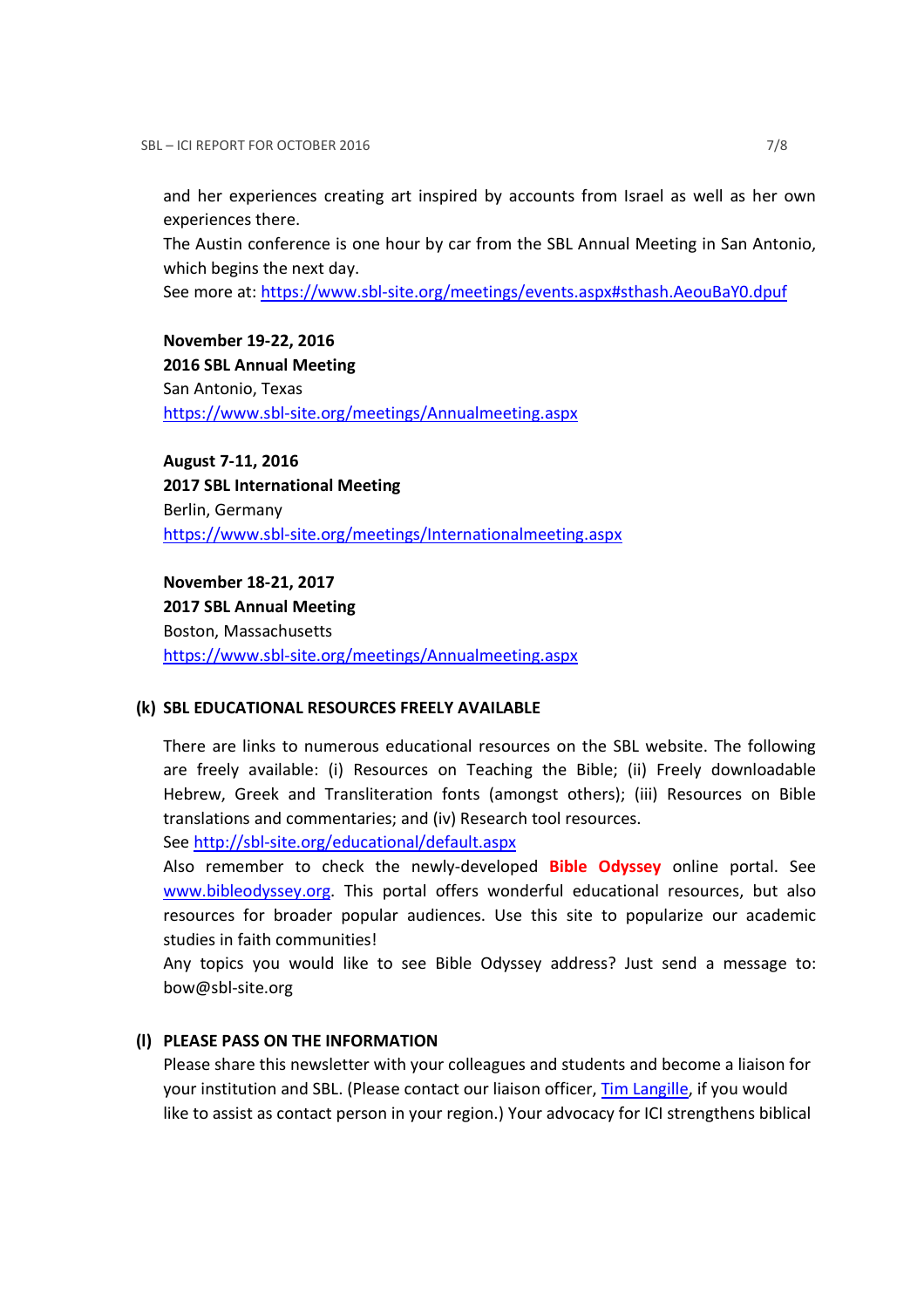and her experiences creating art inspired by accounts from Israel as well as her own experiences there.

The Austin conference is one hour by car from the SBL Annual Meeting in San Antonio, which begins the next day.

See more at: https://www.sbl-site.org/meetings/events.aspx#sthash.AeouBaY0.dpuf

November 19-22, 2016 2016 SBL Annual Meeting San Antonio, Texas https://www.sbl-site.org/meetings/Annualmeeting.aspx

August 7-11, 2016 2017 SBL International Meeting Berlin, Germany https://www.sbl-site.org/meetings/Internationalmeeting.aspx

November 18-21, 2017 2017 SBL Annual Meeting Boston, Massachusetts https://www.sbl-site.org/meetings/Annualmeeting.aspx

#### (k) SBL EDUCATIONAL RESOURCES FREELY AVAILABLE

There are links to numerous educational resources on the SBL website. The following are freely available: (i) Resources on Teaching the Bible; (ii) Freely downloadable Hebrew, Greek and Transliteration fonts (amongst others); (iii) Resources on Bible translations and commentaries; and (iv) Research tool resources.

See http://sbl-site.org/educational/default.aspx

Also remember to check the newly-developed **Bible Odyssey** online portal. See www.bibleodyssey.org. This portal offers wonderful educational resources, but also resources for broader popular audiences. Use this site to popularize our academic studies in faith communities!

Any topics you would like to see Bible Odyssey address? Just send a message to: bow@sbl-site.org

#### (l) PLEASE PASS ON THE INFORMATION

Please share this newsletter with your colleagues and students and become a liaison for your institution and SBL. (Please contact our liaison officer, Tim Langille, if you would like to assist as contact person in your region.) Your advocacy for ICI strengthens biblical